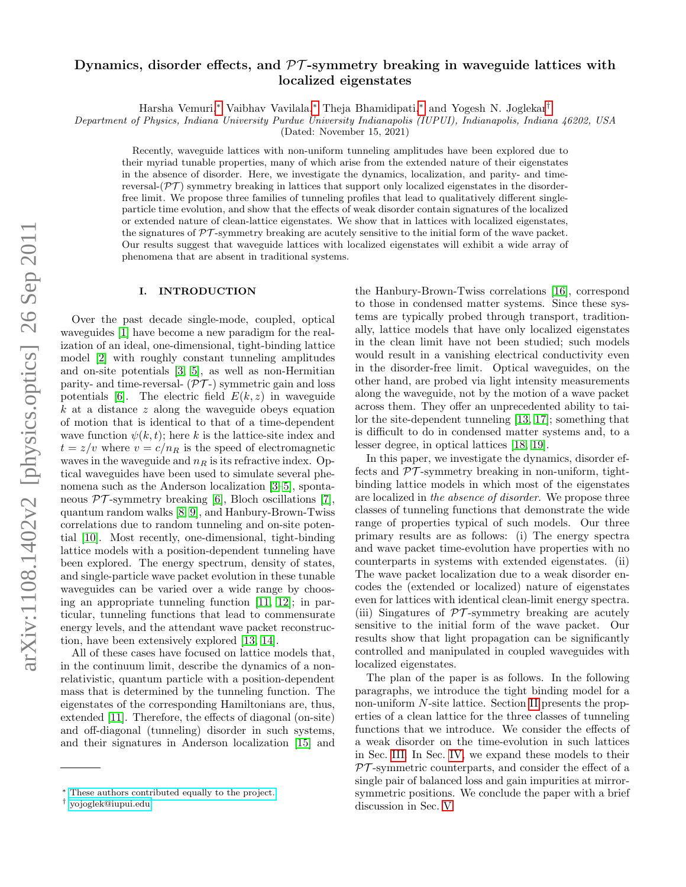# arXiv:1108.1402v2 [physics.optics] 26 Sep 2011 arXiv:1108.1402v2 [physics.optics] 26 Sep 2011

# Dynamics, disorder effects, and  $\mathcal{PT}$ -symmetry breaking in waveguide lattices with localized eigenstates

Harsha Vemuri,[∗](#page-0-0) Vaibhav Vavilala,[∗](#page-0-0) Theja Bhamidipati,[∗](#page-0-0) and Yogesh N. Joglekar[†](#page-0-1)

Department of Physics, Indiana University Purdue University Indianapolis (IUPUI), Indianapolis, Indiana 46202, USA

(Dated: November 15, 2021)

Recently, waveguide lattices with non-uniform tunneling amplitudes have been explored due to their myriad tunable properties, many of which arise from the extended nature of their eigenstates in the absence of disorder. Here, we investigate the dynamics, localization, and parity- and timereversal- $(\mathcal{PT})$  symmetry breaking in lattices that support only localized eigenstates in the disorderfree limit. We propose three families of tunneling profiles that lead to qualitatively different singleparticle time evolution, and show that the effects of weak disorder contain signatures of the localized or extended nature of clean-lattice eigenstates. We show that in lattices with localized eigenstates, the signatures of  $PT$ -symmetry breaking are acutely sensitive to the initial form of the wave packet. Our results suggest that waveguide lattices with localized eigenstates will exhibit a wide array of phenomena that are absent in traditional systems.

### I. INTRODUCTION

Over the past decade single-mode, coupled, optical waveguides [\[1\]](#page-6-0) have become a new paradigm for the realization of an ideal, one-dimensional, tight-binding lattice model [\[2\]](#page-6-1) with roughly constant tunneling amplitudes and on-site potentials [\[3,](#page-6-2) [5\]](#page-6-3), as well as non-Hermitian parity- and time-reversal-  $(\mathcal{PT})$  symmetric gain and loss potentials [\[6\]](#page-6-4). The electric field  $E(k, z)$  in waveguide k at a distance z along the waveguide obeys equation of motion that is identical to that of a time-dependent wave function  $\psi(k, t)$ ; here k is the lattice-site index and  $t = z/v$  where  $v = c/n_R$  is the speed of electromagnetic waves in the waveguide and  $n_R$  is its refractive index. Optical waveguides have been used to simulate several phenomena such as the Anderson localization [\[3–](#page-6-2)[5\]](#page-6-3), spontaneous  $\mathcal{PT}$ -symmetry breaking [\[6\]](#page-6-4), Bloch oscillations [\[7\]](#page-6-5), quantum random walks [\[8,](#page-6-6) [9\]](#page-6-7), and Hanbury-Brown-Twiss correlations due to random tunneling and on-site potential [\[10\]](#page-6-8). Most recently, one-dimensional, tight-binding lattice models with a position-dependent tunneling have been explored. The energy spectrum, density of states, and single-particle wave packet evolution in these tunable waveguides can be varied over a wide range by choosing an appropriate tunneling function [\[11,](#page-6-9) [12\]](#page-6-10); in particular, tunneling functions that lead to commensurate energy levels, and the attendant wave packet reconstruction, have been extensively explored [\[13,](#page-6-11) [14\]](#page-6-12).

All of these cases have focused on lattice models that, in the continuum limit, describe the dynamics of a nonrelativistic, quantum particle with a position-dependent mass that is determined by the tunneling function. The eigenstates of the corresponding Hamiltonians are, thus, extended [\[11\]](#page-6-9). Therefore, the effects of diagonal (on-site) and off-diagonal (tunneling) disorder in such systems, and their signatures in Anderson localization [\[15\]](#page-6-13) and

the Hanbury-Brown-Twiss correlations [\[16\]](#page-6-14), correspond to those in condensed matter systems. Since these systems are typically probed through transport, traditionally, lattice models that have only localized eigenstates in the clean limit have not been studied; such models would result in a vanishing electrical conductivity even in the disorder-free limit. Optical waveguides, on the other hand, are probed via light intensity measurements along the waveguide, not by the motion of a wave packet across them. They offer an unprecedented ability to tailor the site-dependent tunneling [\[13,](#page-6-11) [17\]](#page-6-15); something that is difficult to do in condensed matter systems and, to a lesser degree, in optical lattices [\[18,](#page-6-16) [19\]](#page-6-17).

In this paper, we investigate the dynamics, disorder effects and  $\mathcal{PT}$ -symmetry breaking in non-uniform, tightbinding lattice models in which most of the eigenstates are localized in the absence of disorder. We propose three classes of tunneling functions that demonstrate the wide range of properties typical of such models. Our three primary results are as follows: (i) The energy spectra and wave packet time-evolution have properties with no counterparts in systems with extended eigenstates. (ii) The wave packet localization due to a weak disorder encodes the (extended or localized) nature of eigenstates even for lattices with identical clean-limit energy spectra. (iii) Singatures of  $\mathcal{PT}$ -symmetry breaking are acutely sensitive to the initial form of the wave packet. Our results show that light propagation can be significantly controlled and manipulated in coupled waveguides with localized eigenstates.

The plan of the paper is as follows. In the following paragraphs, we introduce the tight binding model for a non-uniform N-site lattice. Section [II](#page-1-0) presents the properties of a clean lattice for the three classes of tunneling functions that we introduce. We consider the effects of a weak disorder on the time-evolution in such lattices in Sec. [III.](#page-3-0) In Sec. [IV,](#page-4-0) we expand these models to their  $PT$ -symmetric counterparts, and consider the effect of a single pair of balanced loss and gain impurities at mirrorsymmetric positions. We conclude the paper with a brief discussion in Sec. [V.](#page-5-0)

<span id="page-0-0"></span><sup>∗</sup> [These authors contributed equally to the project.](mailto:These authors contributed equally to the project.)

<span id="page-0-1"></span><sup>†</sup> [yojoglek@iupui.edu](mailto:yojoglek@iupui.edu)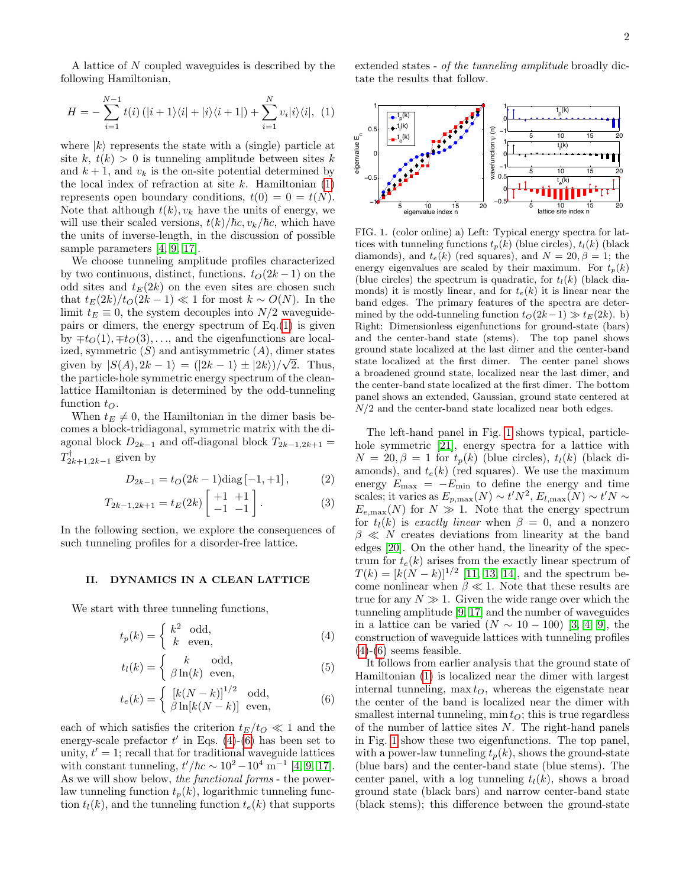A lattice of N coupled waveguides is described by the following Hamiltonian,

<span id="page-1-1"></span>
$$
H = -\sum_{i=1}^{N-1} t(i) \left( |i+1\rangle\langle i| + |i\rangle\langle i+1| \right) + \sum_{i=1}^{N} v_i |i\rangle\langle i|, (1)
$$

where  $|k\rangle$  represents the state with a (single) particle at site k,  $t(k) > 0$  is tunneling amplitude between sites k and  $k + 1$ , and  $v_k$  is the on-site potential determined by the local index of refraction at site  $k$ . Hamiltonian  $(1)$ represents open boundary conditions,  $t(0) = 0 = t(N)$ . Note that although  $t(k)$ ,  $v_k$  have the units of energy, we will use their scaled versions,  $t(k)/\hbar c$ ,  $v_k/\hbar c$ , which have the units of inverse-length, in the discussion of possible sample parameters [\[4,](#page-6-18) [9,](#page-6-7) [17\]](#page-6-15).

We choose tunneling amplitude profiles characterized by two continuous, distinct, functions.  $t_0(2k-1)$  on the odd sites and  $t_E(2k)$  on the even sites are chosen such that  $t_E(2k)/t_O(2k-1) \ll 1$  for most  $k \sim O(N)$ . In the limit  $t_E \equiv 0$ , the system decouples into  $N/2$  waveguidepairs or dimers, the energy spectrum of  $Eq.(1)$  $Eq.(1)$  is given by  $\mp t_O(1), \mp t_O(3), \ldots$ , and the eigenfunctions are localized, symmetric  $(S)$  and antisymmetric  $(A)$ , dimer states given by  $|S(A), 2k-1\rangle = (|2k-1\rangle \pm |2k\rangle)/\sqrt{2}$ . Thus, the particle-hole symmetric energy spectrum of the cleanlattice Hamiltonian is determined by the odd-tunneling function  $t_O$ .

When  $t_E \neq 0$ , the Hamiltonian in the dimer basis becomes a block-tridiagonal, symmetric matrix with the diagonal block  $D_{2k-1}$  and off-diagonal block  $T_{2k-1,2k+1}$  =  $T_{2k+1,2k-1}^{\dagger}$  given by

$$
D_{2k-1} = t_O(2k-1)\text{diag}[-1,+1],\tag{2}
$$

$$
T_{2k-1,2k+1} = t_E(2k) \begin{bmatrix} +1 & +1 \\ -1 & -1 \end{bmatrix} . \tag{3}
$$

In the following section, we explore the consequences of such tunneling profiles for a disorder-free lattice.

### <span id="page-1-0"></span>II. DYNAMICS IN A CLEAN LATTICE

We start with three tunneling functions,

$$
t_p(k) = \begin{cases} k^2 & \text{odd,} \\ k & \text{even,} \end{cases}
$$
 (4)

<span id="page-1-2"></span>
$$
t_l(k) = \begin{cases} k & \text{odd,} \\ \beta \ln(k) & \text{even,} \end{cases}
$$
 (5)

$$
t_e(k) = \begin{cases} [k(N-k)]^{1/2} & \text{odd,} \\ \beta \ln[k(N-k)] & \text{even,} \end{cases}
$$
(6)

each of which satisfies the criterion  $t_E/t_O \ll 1$  and the energy-scale prefactor  $t'$  in Eqs. [\(4\)](#page-1-2)-[\(6\)](#page-1-2) has been set to unity,  $t' = 1$ ; recall that for traditional waveguide lattices with constant tunneling,  $t'/\hbar c \sim 10^2 - 10^4$  m<sup>-1</sup> [\[4,](#page-6-18) [9,](#page-6-7) [17\]](#page-6-15). As we will show below, the functional forms - the powerlaw tunneling function  $t_n(k)$ , logarithmic tunneling function  $t_l(k)$ , and the tunneling function  $t_e(k)$  that supports extended states - of the tunneling amplitude broadly dictate the results that follow.



<span id="page-1-3"></span>FIG. 1. (color online) a) Left: Typical energy spectra for lattices with tunneling functions  $t_p(k)$  (blue circles),  $t_l(k)$  (black diamonds), and  $t_e(k)$  (red squares), and  $N = 20, \beta = 1$ ; the energy eigenvalues are scaled by their maximum. For  $t_p(k)$ (blue circles) the spectrum is quadratic, for  $t_l(k)$  (black diamonds) it is mostly linear, and for  $t_e(k)$  it is linear near the band edges. The primary features of the spectra are determined by the odd-tunneling function  $t_O(2k-1) \gg t_E(2k)$ . b) Right: Dimensionless eigenfunctions for ground-state (bars) and the center-band state (stems). The top panel shows ground state localized at the last dimer and the center-band state localized at the first dimer. The center panel shows a broadened ground state, localized near the last dimer, and the center-band state localized at the first dimer. The bottom panel shows an extended, Gaussian, ground state centered at  $N/2$  and the center-band state localized near both edges.

The left-hand panel in Fig. [1](#page-1-3) shows typical, particlehole symmetric [\[21\]](#page-6-19), energy spectra for a lattice with  $N = 20, \beta = 1$  for  $t_p(k)$  (blue circles),  $t_l(k)$  (black diamonds), and  $t_e(k)$  (red squares). We use the maximum energy  $E_{\text{max}} = -E_{\text{min}}$  to define the energy and time scales; it varies as  $E_{p,\text{max}}(N) \sim t' N^2$ ,  $E_{l,\text{max}}(N) \sim t' N \sim$  $E_{e,\text{max}}(N)$  for  $N \gg 1$ . Note that the energy spectrum for  $t_l(k)$  is exactly linear when  $\beta = 0$ , and a nonzero  $\beta \ll N$  creates deviations from linearity at the band edges [\[20\]](#page-6-20). On the other hand, the linearity of the spectrum for  $t_e(k)$  arises from the exactly linear spectrum of  $T(k) = [k(N-k)]^{1/2}$  [\[11,](#page-6-9) [13,](#page-6-11) [14\]](#page-6-12), and the spectrum become nonlinear when  $\beta \ll 1$ . Note that these results are true for any  $N \gg 1$ . Given the wide range over which the tunneling amplitude [\[9,](#page-6-7) [17\]](#page-6-15) and the number of waveguides in a lattice can be varied  $(N \sim 10 - 100)$  [\[3,](#page-6-2) [4,](#page-6-18) [9\]](#page-6-7), the construction of waveguide lattices with tunneling profiles  $(4)-(6)$  $(4)-(6)$  $(4)-(6)$  seems feasible.

It follows from earlier analysis that the ground state of Hamiltonian [\(1\)](#page-1-1) is localized near the dimer with largest internal tunneling,  $\max t_O$ , whereas the eigenstate near the center of the band is localized near the dimer with smallest internal tunneling,  $\min t_O$ ; this is true regardless of the number of lattice sites  $N$ . The right-hand panels in Fig. [1](#page-1-3) show these two eigenfunctions. The top panel, with a power-law tunneling  $t_p(k)$ , shows the ground-state (blue bars) and the center-band state (blue stems). The center panel, with a log tunneling  $t_l(k)$ , shows a broad ground state (black bars) and narrow center-band state (black stems); this difference between the ground-state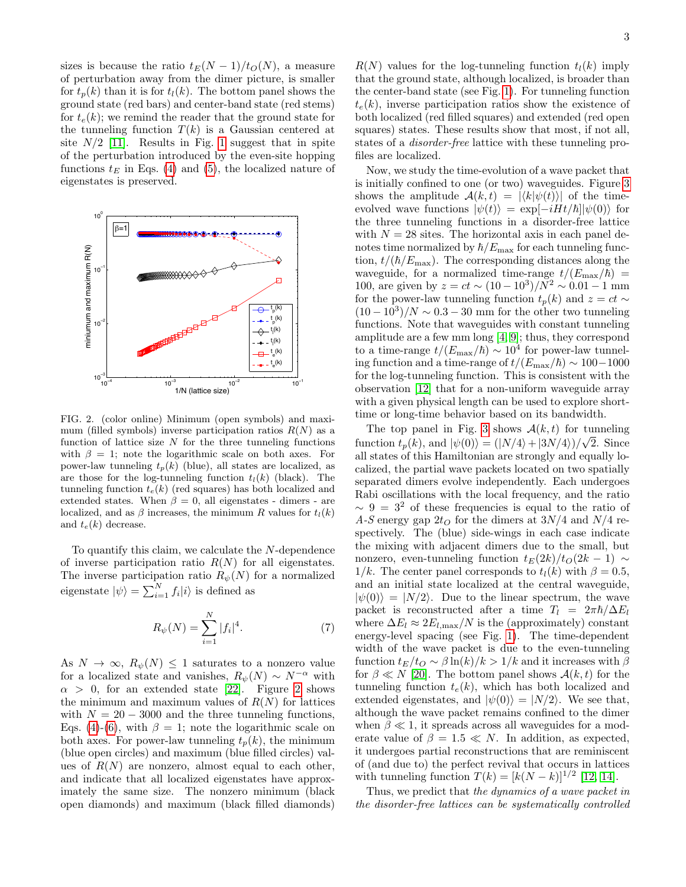sizes is because the ratio  $t_E(N-1)/t_O(N)$ , a measure of perturbation away from the dimer picture, is smaller for  $t_n(k)$  than it is for  $t_l(k)$ . The bottom panel shows the ground state (red bars) and center-band state (red stems) for  $t_e(k)$ ; we remind the reader that the ground state for the tunneling function  $T(k)$  is a Gaussian centered at site  $N/2$  [\[11\]](#page-6-9). Results in Fig. [1](#page-1-3) suggest that in spite of the perturbation introduced by the even-site hopping functions  $t_E$  in Eqs. [\(4\)](#page-1-2) and [\(5\)](#page-1-2), the localized nature of eigenstates is preserved.



<span id="page-2-0"></span>FIG. 2. (color online) Minimum (open symbols) and maximum (filled symbols) inverse participation ratios  $R(N)$  as a function of lattice size  $N$  for the three tunneling functions with  $\beta = 1$ ; note the logarithmic scale on both axes. For power-law tunneling  $t_p(k)$  (blue), all states are localized, as are those for the log-tunneling function  $t_l(k)$  (black). The tunneling function  $t_e(k)$  (red squares) has both localized and extended states. When  $\beta = 0$ , all eigenstates - dimers - are localized, and as  $\beta$  increases, the minimum R values for  $t_l(k)$ and  $t_e(k)$  decrease.

To quantify this claim, we calculate the N-dependence of inverse participation ratio  $R(N)$  for all eigenstates. The inverse participation ratio  $R_{\psi}(N)$  for a normalized eigenstate  $|\psi\rangle = \sum_{i=1}^{N} f_i |i\rangle$  is defined as

$$
R_{\psi}(N) = \sum_{i=1}^{N} |f_i|^4.
$$
 (7)

As  $N \to \infty$ ,  $R_{\psi}(N) \leq 1$  saturates to a nonzero value for a localized state and vanishes,  $R_{\psi}(N) \sim N^{-\alpha}$  with  $\alpha > 0$ , for an extended state [\[22\]](#page-6-21). Figure [2](#page-2-0) shows the minimum and maximum values of  $R(N)$  for lattices with  $N = 20 - 3000$  and the three tunneling functions, Eqs. [\(4\)](#page-1-2)-[\(6\)](#page-1-2), with  $\beta = 1$ ; note the logarithmic scale on both axes. For power-law tunneling  $t_p(k)$ , the minimum (blue open circles) and maximum (blue filled circles) values of  $R(N)$  are nonzero, almost equal to each other, and indicate that all localized eigenstates have approximately the same size. The nonzero minimum (black open diamonds) and maximum (black filled diamonds)

 $R(N)$  values for the log-tunneling function  $t<sub>l</sub>(k)$  imply that the ground state, although localized, is broader than the center-band state (see Fig. [1\)](#page-1-3). For tunneling function  $t_e(k)$ , inverse participation ratios show the existence of both localized (red filled squares) and extended (red open squares) states. These results show that most, if not all, states of a disorder-free lattice with these tunneling profiles are localized.

Now, we study the time-evolution of a wave packet that is initially confined to one (or two) waveguides. Figure [3](#page-3-1) shows the amplitude  $\mathcal{A}(k,t) = |\langle k|\psi(t)\rangle|$  of the timeevolved wave functions  $|\psi(t)\rangle = \exp[-iHt/\hbar] |\psi(0)\rangle$  for the three tunneling functions in a disorder-free lattice with  $N = 28$  sites. The horizontal axis in each panel denotes time normalized by  $\hbar/E_{\text{max}}$  for each tunneling function,  $t/(\hbar/E_{\text{max}})$ . The corresponding distances along the waveguide, for a normalized time-range  $t/(E_{\text{max}}/\hbar)$  = 100, are given by  $z = ct \sim (10 - 10^3)/N^2 \sim 0.01 - 1$  mm for the power-law tunneling function  $t_p(k)$  and  $z = ct$  $(10-10^3)/N \sim 0.3-30$  mm for the other two tunneling functions. Note that waveguides with constant tunneling amplitude are a few mm long [\[4,](#page-6-18) [9\]](#page-6-7); thus, they correspond to a time-range  $t/(E_{\text{max}}/\hbar) \sim 10^4$  for power-law tunneling function and a time-range of  $t/(E_{\text{max}}/\hbar) \sim 100-1000$ for the log-tunneling function. This is consistent with the observation [\[12\]](#page-6-10) that for a non-uniform waveguide array with a given physical length can be used to explore shorttime or long-time behavior based on its bandwidth.

The top panel in Fig. [3](#page-3-1) shows  $\mathcal{A}(k,t)$  for tunneling function  $t_p(k)$ , and  $|\psi(0)\rangle = (|N/4\rangle + |3N/4\rangle)/\sqrt{2}$ . Since all states of this Hamiltonian are strongly and equally localized, the partial wave packets located on two spatially separated dimers evolve independently. Each undergoes Rabi oscillations with the local frequency, and the ratio  $\sim 9 = 3^2$  of these frequencies is equal to the ratio of A-S energy gap  $2t<sub>O</sub>$  for the dimers at  $3N/4$  and  $N/4$  respectively. The (blue) side-wings in each case indicate the mixing with adjacent dimers due to the small, but nonzero, even-tunneling function  $t_E(2k)/t_O(2k-1) \sim$ 1/k. The center panel corresponds to  $t_l(k)$  with  $\beta = 0.5$ , and an initial state localized at the central waveguide,  $|\psi(0)\rangle = |N/2\rangle$ . Due to the linear spectrum, the wave packet is reconstructed after a time  $T_l = 2\pi\hbar/\Delta E_l$ where  $\Delta E_l \approx 2E_{l,\text{max}}/N$  is the (approximately) constant energy-level spacing (see Fig. [1\)](#page-1-3). The time-dependent width of the wave packet is due to the even-tunneling function  $t_E/t_O \sim \beta \ln(k)/k > 1/k$  and it increases with  $\beta$ for  $\beta \ll N$  [\[20\]](#page-6-20). The bottom panel shows  $\mathcal{A}(k, t)$  for the tunneling function  $t_e(k)$ , which has both localized and extended eigenstates, and  $|\psi(0)\rangle = |N/2\rangle$ . We see that, although the wave packet remains confined to the dimer when  $\beta \ll 1$ , it spreads across all waveguides for a moderate value of  $\beta = 1.5 \ll N$ . In addition, as expected, it undergoes partial reconstructions that are reminiscent of (and due to) the perfect revival that occurs in lattices with tunneling function  $T(k) = [k(N-k)]^{1/2}$  [\[12,](#page-6-10) [14\]](#page-6-12).

Thus, we predict that the dynamics of a wave packet in the disorder-free lattices can be systematically controlled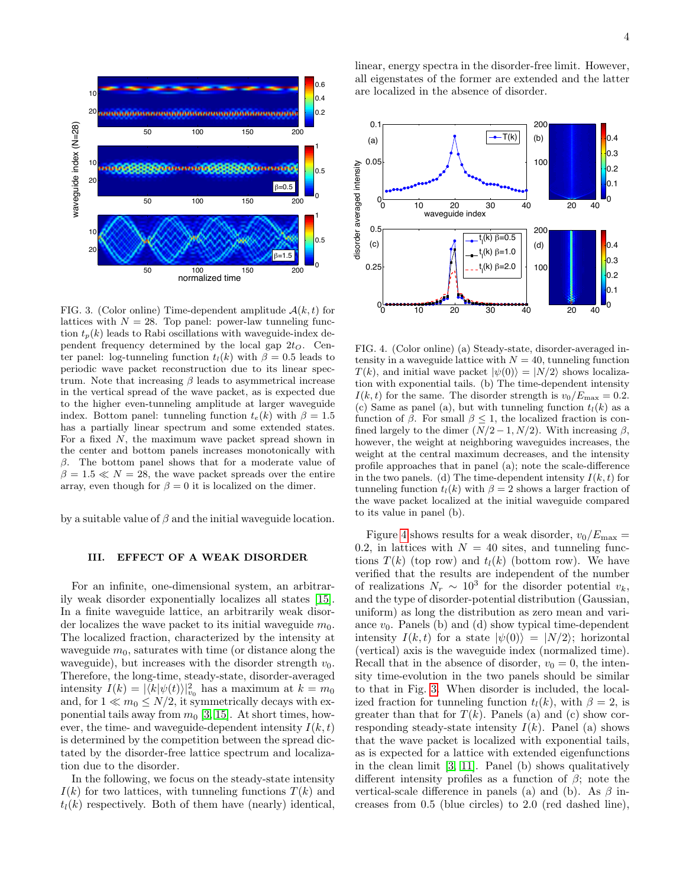

<span id="page-3-1"></span>FIG. 3. (Color online) Time-dependent amplitude  $A(k, t)$  for lattices with  $N = 28$ . Top panel: power-law tunneling function  $t_p(k)$  leads to Rabi oscillations with waveguide-index dependent frequency determined by the local gap  $2t<sub>O</sub>$ . Center panel: log-tunneling function  $t_l(k)$  with  $\beta = 0.5$  leads to periodic wave packet reconstruction due to its linear spectrum. Note that increasing  $\beta$  leads to asymmetrical increase in the vertical spread of the wave packet, as is expected due to the higher even-tunneling amplitude at larger waveguide index. Bottom panel: tunneling function  $t_e(k)$  with  $\beta = 1.5$ has a partially linear spectrum and some extended states. For a fixed N, the maximum wave packet spread shown in the center and bottom panels increases monotonically with  $\beta$ . The bottom panel shows that for a moderate value of  $\beta = 1.5 \ll N = 28$ , the wave packet spreads over the entire array, even though for  $\beta = 0$  it is localized on the dimer.

by a suitable value of  $\beta$  and the initial waveguide location.

### <span id="page-3-0"></span>III. EFFECT OF A WEAK DISORDER

For an infinite, one-dimensional system, an arbitrarily weak disorder exponentially localizes all states [\[15\]](#page-6-13). In a finite waveguide lattice, an arbitrarily weak disorder localizes the wave packet to its initial waveguide  $m_0$ . The localized fraction, characterized by the intensity at waveguide  $m_0$ , saturates with time (or distance along the waveguide), but increases with the disorder strength  $v_0$ . Therefore, the long-time, steady-state, disorder-averaged intensity  $I(k) = |\langle k | \psi(t) \rangle|_{v_0}^2$  has a maximum at  $k = m_0$ and, for  $1 \ll m_0 \leq N/2$ , it symmetrically decays with exponential tails away from  $m_0$  [\[3,](#page-6-2) [15\]](#page-6-13). At short times, however, the time- and waveguide-dependent intensity  $I(k, t)$ is determined by the competition between the spread dictated by the disorder-free lattice spectrum and localization due to the disorder.

In the following, we focus on the steady-state intensity  $I(k)$  for two lattices, with tunneling functions  $T(k)$  and  $t_l(k)$  respectively. Both of them have (nearly) identical, linear, energy spectra in the disorder-free limit. However, all eigenstates of the former are extended and the latter are localized in the absence of disorder.



<span id="page-3-2"></span>FIG. 4. (Color online) (a) Steady-state, disorder-averaged intensity in a waveguide lattice with  $N = 40$ , tunneling function  $T(k)$ , and initial wave packet  $|\psi(0)\rangle = |N/2\rangle$  shows localization with exponential tails. (b) The time-dependent intensity  $I(k, t)$  for the same. The disorder strength is  $v_0/E_{\text{max}} = 0.2$ . (c) Same as panel (a), but with tunneling function  $t_l(k)$  as a function of  $\beta$ . For small  $\beta \leq 1$ , the localized fraction is confined largely to the dimer  $(N/2-1, N/2)$ . With increasing  $\beta$ , however, the weight at neighboring waveguides increases, the weight at the central maximum decreases, and the intensity profile approaches that in panel (a); note the scale-difference in the two panels. (d) The time-dependent intensity  $I(k, t)$  for tunneling function  $t_l(k)$  with  $\beta = 2$  shows a larger fraction of the wave packet localized at the initial waveguide compared to its value in panel (b).

Figure [4](#page-3-2) shows results for a weak disorder,  $v_0/E_{\text{max}} =$ 0.2, in lattices with  $N = 40$  sites, and tunneling functions  $T(k)$  (top row) and  $t<sub>l</sub>(k)$  (bottom row). We have verified that the results are independent of the number of realizations  $N_r \sim 10^3$  for the disorder potential  $v_k$ , and the type of disorder-potential distribution (Gaussian, uniform) as long the distribution as zero mean and variance  $v_0$ . Panels (b) and (d) show typical time-dependent intensity  $I(k, t)$  for a state  $|\psi(0)\rangle = |N/2\rangle$ ; horizontal (vertical) axis is the waveguide index (normalized time). Recall that in the absence of disorder,  $v_0 = 0$ , the intensity time-evolution in the two panels should be similar to that in Fig. [3.](#page-3-1) When disorder is included, the localized fraction for tunneling function  $t<sub>l</sub>(k)$ , with  $\beta = 2$ , is greater than that for  $T(k)$ . Panels (a) and (c) show corresponding steady-state intensity  $I(k)$ . Panel (a) shows that the wave packet is localized with exponential tails, as is expected for a lattice with extended eigenfunctions in the clean limit [\[3,](#page-6-2) [11\]](#page-6-9). Panel (b) shows qualitatively different intensity profiles as a function of  $\beta$ ; note the vertical-scale difference in panels (a) and (b). As  $\beta$  increases from 0.5 (blue circles) to 2.0 (red dashed line),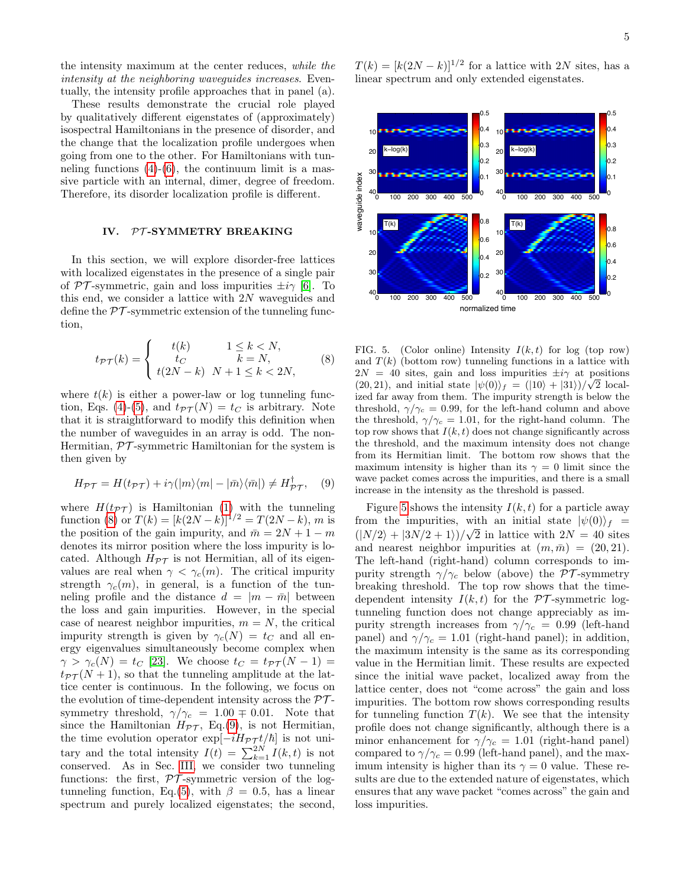the intensity maximum at the center reduces, while the intensity at the neighboring waveguides increases. Eventually, the intensity profile approaches that in panel (a).

These results demonstrate the crucial role played by qualitatively different eigenstates of (approximately) isospectral Hamiltonians in the presence of disorder, and the change that the localization profile undergoes when going from one to the other. For Hamiltonians with tunneling functions  $(4)-(6)$  $(4)-(6)$  $(4)-(6)$ , the continuum limit is a massive particle with an internal, dimer, degree of freedom. Therefore, its disorder localization profile is different.

## <span id="page-4-0"></span>IV. PT-SYMMETRY BREAKING

In this section, we will explore disorder-free lattices with localized eigenstates in the presence of a single pair of PT-symmetric, gain and loss impurities  $\pm i\gamma$  [\[6\]](#page-6-4). To this end, we consider a lattice with 2N waveguides and define the  $\mathcal{PT}$ -symmetric extension of the tunneling function,

<span id="page-4-1"></span>
$$
t_{\mathcal{PT}}(k) = \begin{cases} t(k) & 1 \le k < N, \\ t_C & k = N, \\ t(2N - k) & N + 1 \le k < 2N, \end{cases} \tag{8}
$$

where  $t(k)$  is either a power-law or log tunneling func-tion, Eqs. [\(4\)](#page-1-2)-[\(5\)](#page-1-2), and  $t_{\mathcal{PT}}(N) = t_C$  is arbitrary. Note that it is straightforward to modify this definition when the number of waveguides in an array is odd. The non-Hermitian,  $\mathcal{PT}$ -symmetric Hamiltonian for the system is then given by

<span id="page-4-2"></span>
$$
H_{\mathcal{PT}} = H(t_{\mathcal{PT}}) + i\gamma(|m\rangle\langle m| - |\bar{m}\rangle\langle\bar{m}|) \neq H_{\mathcal{PT}}^{\dagger}, \quad (9)
$$

where  $H(t_{\mathcal{PT}})$  is Hamiltonian [\(1\)](#page-1-1) with the tunneling function [\(8\)](#page-4-1) or  $T(k) = [k(2N-k)]^{1/2} = T(2N-k)$ , m is the position of the gain impurity, and  $\bar{m} = 2N + 1 - m$ denotes its mirror position where the loss impurity is located. Although  $H_{\mathcal{PT}}$  is not Hermitian, all of its eigenvalues are real when  $\gamma < \gamma_c(m)$ . The critical impurity strength  $\gamma_c(m)$ , in general, is a function of the tunneling profile and the distance  $d = |m - \bar{m}|$  between the loss and gain impurities. However, in the special case of nearest neighbor impurities,  $m = N$ , the critical impurity strength is given by  $\gamma_c(N) = t_C$  and all energy eigenvalues simultaneously become complex when  $\gamma > \gamma_c(N) = t_C$  [\[23\]](#page-6-22). We choose  $t_C = t_{\mathcal{PT}}(N-1) =$  $t_{\mathcal{PT}}(N+1)$ , so that the tunneling amplitude at the lattice center is continuous. In the following, we focus on the evolution of time-dependent intensity across the  $\mathcal{PT}$ symmetry threshold,  $\gamma/\gamma_c = 1.00 \pm 0.01$ . Note that since the Hamiltonian  $H_{\mathcal{PT}}$ , Eq.[\(9\)](#page-4-2), is not Hermitian, the time evolution operator  $\exp[-iH_{\mathcal{PT}} t/\hbar]$  is not unitary and the total intensity  $I(t) = \sum_{k=1}^{2N} I(k, t)$  is not conserved. As in Sec. [III,](#page-3-0) we consider two tunneling functions: the first,  $\mathcal{PT}$ -symmetric version of the log-tunneling function, Eq.[\(5\)](#page-1-2), with  $\beta = 0.5$ , has a linear spectrum and purely localized eigenstates; the second,

 $T(k) = [k(2N - k)]^{1/2}$  for a lattice with 2N sites, has a linear spectrum and only extended eigenstates.



<span id="page-4-3"></span>FIG. 5. (Color online) Intensity  $I(k, t)$  for log (top row) and  $T(k)$  (bottom row) tunneling functions in a lattice with  $2N = 40$  sites, gain and loss impurities  $\pm i\gamma$  at positions  $(20, 21)$ , and initial state  $|\psi(0)\rangle_f = (|10\rangle + |31\rangle)/\sqrt{2}$  localized far away from them. The impurity strength is below the threshold,  $\gamma/\gamma_c = 0.99$ , for the left-hand column and above the threshold,  $\gamma/\gamma_c = 1.01$ , for the right-hand column. The top row shows that  $I(k, t)$  does not change significantly across the threshold, and the maximum intensity does not change from its Hermitian limit. The bottom row shows that the maximum intensity is higher than its  $\gamma = 0$  limit since the wave packet comes across the impurities, and there is a small increase in the intensity as the threshold is passed.

Figure [5](#page-4-3) shows the intensity  $I(k, t)$  for a particle away from the impurities, with an initial state  $|\psi(0)\rangle_f =$  $(|N/2\rangle + |3N/2 + 1\rangle)/\sqrt{2}$  in lattice with  $2N = 40$  sites and nearest neighbor impurities at  $(m, \bar{m}) = (20, 21)$ . The left-hand (right-hand) column corresponds to impurity strength  $\gamma/\gamma_c$  below (above) the PT-symmetry breaking threshold. The top row shows that the timedependent intensity  $I(k, t)$  for the PT-symmetric logtunneling function does not change appreciably as impurity strength increases from  $\gamma/\gamma_c = 0.99$  (left-hand panel) and  $\gamma/\gamma_c = 1.01$  (right-hand panel); in addition, the maximum intensity is the same as its corresponding value in the Hermitian limit. These results are expected since the initial wave packet, localized away from the lattice center, does not "come across" the gain and loss impurities. The bottom row shows corresponding results for tunneling function  $T(k)$ . We see that the intensity profile does not change significantly, although there is a minor enhancement for  $\gamma/\gamma_c = 1.01$  (right-hand panel) compared to  $\gamma/\gamma_c = 0.99$  (left-hand panel), and the maximum intensity is higher than its  $\gamma = 0$  value. These results are due to the extended nature of eigenstates, which ensures that any wave packet "comes across" the gain and loss impurities.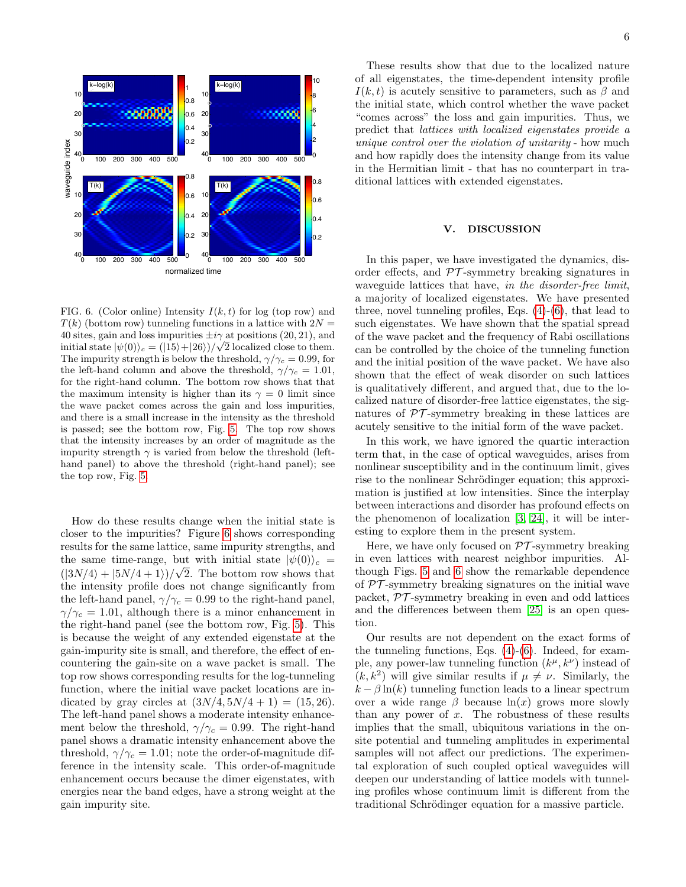

<span id="page-5-1"></span>FIG. 6. (Color online) Intensity  $I(k, t)$  for log (top row) and  $T(k)$  (bottom row) tunneling functions in a lattice with  $2N =$ 40 sites, gain and loss impurities  $\pm i\gamma$  at positions (20, 21), and initial state  $|\psi(0)\rangle_c = (|15\rangle + |26\rangle)/\sqrt{2}$  localized close to them. The impurity strength is below the threshold,  $\gamma/\gamma_c = 0.99$ , for the left-hand column and above the threshold,  $\gamma/\gamma_c = 1.01$ , for the right-hand column. The bottom row shows that that the maximum intensity is higher than its  $\gamma = 0$  limit since the wave packet comes across the gain and loss impurities, and there is a small increase in the intensity as the threshold is passed; see the bottom row, Fig. [5.](#page-4-3) The top row shows that the intensity increases by an order of magnitude as the impurity strength  $\gamma$  is varied from below the threshold (lefthand panel) to above the threshold (right-hand panel); see the top row, Fig. [5.](#page-4-3)

How do these results change when the initial state is closer to the impurities? Figure [6](#page-5-1) shows corresponding results for the same lattice, same impurity strengths, and the same time-range, but with initial state  $|\psi(0)\rangle_c =$  $(|3N/4\rangle + |5N/4 + 1\rangle)/\sqrt{2}$ . The bottom row shows that the intensity profile does not change significantly from the left-hand panel,  $\gamma/\gamma_c = 0.99$  to the right-hand panel,  $\gamma/\gamma_c = 1.01$ , although there is a minor enhancement in the right-hand panel (see the bottom row, Fig. [5\)](#page-4-3). This is because the weight of any extended eigenstate at the gain-impurity site is small, and therefore, the effect of encountering the gain-site on a wave packet is small. The top row shows corresponding results for the log-tunneling function, where the initial wave packet locations are indicated by gray circles at  $(3N/4, 5N/4 + 1) = (15, 26)$ . The left-hand panel shows a moderate intensity enhancement below the threshold,  $\gamma/\gamma_c = 0.99$ . The right-hand panel shows a dramatic intensity enhancement above the threshold,  $\gamma/\gamma_c = 1.01$ ; note the order-of-magnitude difference in the intensity scale. This order-of-magnitude enhancement occurs because the dimer eigenstates, with energies near the band edges, have a strong weight at the gain impurity site.

These results show that due to the localized nature of all eigenstates, the time-dependent intensity profile  $I(k, t)$  is acutely sensitive to parameters, such as  $\beta$  and the initial state, which control whether the wave packet "comes across" the loss and gain impurities. Thus, we predict that lattices with localized eigenstates provide a unique control over the violation of unitarity - how much and how rapidly does the intensity change from its value in the Hermitian limit - that has no counterpart in traditional lattices with extended eigenstates.

### <span id="page-5-0"></span>V. DISCUSSION

In this paper, we have investigated the dynamics, disorder effects, and  $\mathcal{PT}$ -symmetry breaking signatures in waveguide lattices that have, in the disorder-free limit, a majority of localized eigenstates. We have presented three, novel tunneling profiles, Eqs. [\(4\)](#page-1-2)-[\(6\)](#page-1-2), that lead to such eigenstates. We have shown that the spatial spread of the wave packet and the frequency of Rabi oscillations can be controlled by the choice of the tunneling function and the initial position of the wave packet. We have also shown that the effect of weak disorder on such lattices is qualitatively different, and argued that, due to the localized nature of disorder-free lattice eigenstates, the signatures of  $\mathcal{PT}$ -symmetry breaking in these lattices are acutely sensitive to the initial form of the wave packet.

In this work, we have ignored the quartic interaction term that, in the case of optical waveguides, arises from nonlinear susceptibility and in the continuum limit, gives rise to the nonlinear Schrödinger equation; this approximation is justified at low intensities. Since the interplay between interactions and disorder has profound effects on the phenomenon of localization [\[3,](#page-6-2) [24\]](#page-6-23), it will be interesting to explore them in the present system.

Here, we have only focused on  $\mathcal{PT}$ -symmetry breaking in even lattices with nearest neighbor impurities. Although Figs. [5](#page-4-3) and [6](#page-5-1) show the remarkable dependence of  $PT$ -symmetry breaking signatures on the initial wave packet, PT -symmetry breaking in even and odd lattices and the differences between them [\[25\]](#page-6-24) is an open question.

Our results are not dependent on the exact forms of the tunneling functions, Eqs.  $(4)-(6)$  $(4)-(6)$  $(4)-(6)$ . Indeed, for example, any power-law tunneling function  $(k^{\mu}, k^{\nu})$  instead of  $(k, k^2)$  will give similar results if  $\mu \neq \nu$ . Similarly, the  $k - \beta \ln(k)$  tunneling function leads to a linear spectrum over a wide range  $\beta$  because  $\ln(x)$  grows more slowly than any power of  $x$ . The robustness of these results implies that the small, ubiquitous variations in the onsite potential and tunneling amplitudes in experimental samples will not affect our predictions. The experimental exploration of such coupled optical waveguides will deepen our understanding of lattice models with tunneling profiles whose continuum limit is different from the traditional Schrödinger equation for a massive particle.